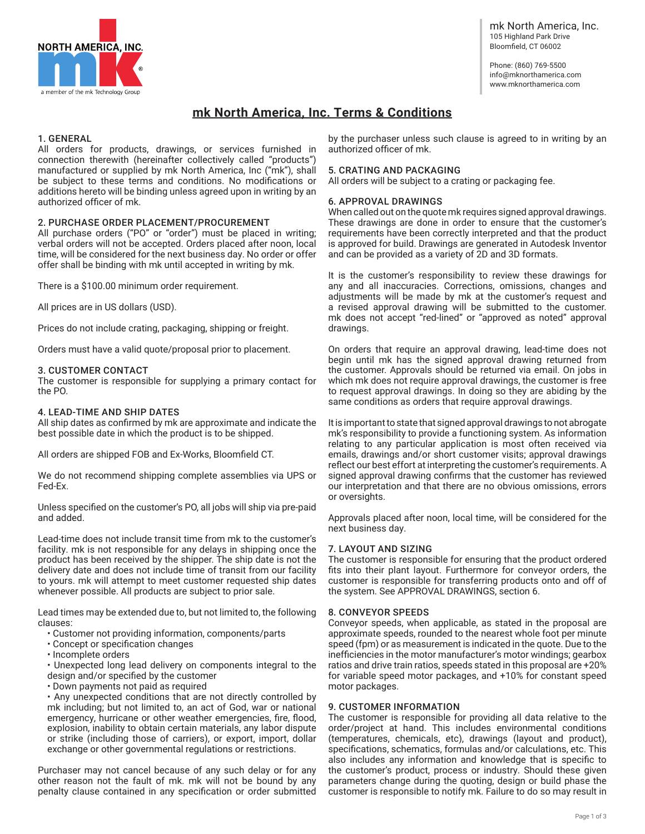

mk North America, Inc. 105 Highland Park Drive Bloomfield, CT 06002

Phone: (860) 769-5500 info@mknorthamerica.com www.mknorthamerica.com

# **mk North America, Inc. Terms & Conditions**

# 1. GENERAL

All orders for products, drawings, or services furnished in connection therewith (hereinafter collectively called "products") manufactured or supplied by mk North America, Inc ("mk"), shall be subject to these terms and conditions. No modifications or additions hereto will be binding unless agreed upon in writing by an authorized officer of mk.

# 2. PURCHASE ORDER PLACEMENT/PROCUREMENT

All purchase orders ("PO" or "order") must be placed in writing; verbal orders will not be accepted. Orders placed after noon, local time, will be considered for the next business day. No order or offer offer shall be binding with mk until accepted in writing by mk.

There is a \$100.00 minimum order requirement.

All prices are in US dollars (USD).

Prices do not include crating, packaging, shipping or freight.

Orders must have a valid quote/proposal prior to placement.

# 3. CUSTOMER CONTACT

The customer is responsible for supplying a primary contact for the PO.

## 4. LEAD-TIME AND SHIP DATES

All ship dates as confirmed by mk are approximate and indicate the best possible date in which the product is to be shipped.

All orders are shipped FOB and Ex-Works, Bloomfield CT.

We do not recommend shipping complete assemblies via UPS or Fed-Ex.

Unless specified on the customer's PO, all jobs will ship via pre-paid and added.

Lead-time does not include transit time from mk to the customer's facility. mk is not responsible for any delays in shipping once the product has been received by the shipper. The ship date is not the delivery date and does not include time of transit from our facility to yours. mk will attempt to meet customer requested ship dates whenever possible. All products are subject to prior sale.

Lead times may be extended due to, but not limited to, the following clauses:

- Customer not providing information, components/parts
- Concept or specification changes
- Incomplete orders

• Unexpected long lead delivery on components integral to the design and/or specified by the customer

• Down payments not paid as required

• Any unexpected conditions that are not directly controlled by mk including; but not limited to, an act of God, war or national emergency, hurricane or other weather emergencies, fire, flood, explosion, inability to obtain certain materials, any labor dispute or strike (including those of carriers), or export, import, dollar exchange or other governmental regulations or restrictions.

Purchaser may not cancel because of any such delay or for any other reason not the fault of mk. mk will not be bound by any penalty clause contained in any specification or order submitted

by the purchaser unless such clause is agreed to in writing by an authorized officer of mk.

# 5. CRATING AND PACKAGING

All orders will be subject to a crating or packaging fee.

## 6. APPROVAL DRAWINGS

When called out on the quote mk requires signed approval drawings. These drawings are done in order to ensure that the customer's requirements have been correctly interpreted and that the product is approved for build. Drawings are generated in Autodesk Inventor and can be provided as a variety of 2D and 3D formats.

It is the customer's responsibility to review these drawings for any and all inaccuracies. Corrections, omissions, changes and adjustments will be made by mk at the customer's request and a revised approval drawing will be submitted to the customer. mk does not accept "red-lined" or "approved as noted" approval drawings.

On orders that require an approval drawing, lead-time does not begin until mk has the signed approval drawing returned from the customer. Approvals should be returned via email. On jobs in which mk does not require approval drawings, the customer is free to request approval drawings. In doing so they are abiding by the same conditions as orders that require approval drawings.

It is important to state that signed approval drawings to not abrogate mk's responsibility to provide a functioning system. As information relating to any particular application is most often received via emails, drawings and/or short customer visits; approval drawings reflect our best effort at interpreting the customer's requirements. A signed approval drawing confirms that the customer has reviewed our interpretation and that there are no obvious omissions, errors or oversights.

Approvals placed after noon, local time, will be considered for the next business day.

# 7. LAYOUT AND SIZING

The customer is responsible for ensuring that the product ordered fits into their plant layout. Furthermore for conveyor orders, the customer is responsible for transferring products onto and off of the system. See APPROVAL DRAWINGS, section 6.

### 8. CONVEYOR SPEEDS

Conveyor speeds, when applicable, as stated in the proposal are approximate speeds, rounded to the nearest whole foot per minute speed (fpm) or as measurement is indicated in the quote. Due to the inefficiencies in the motor manufacturer's motor windings; gearbox ratios and drive train ratios, speeds stated in this proposal are +20% for variable speed motor packages, and +10% for constant speed motor packages.

#### 9. CUSTOMER INFORMATION

The customer is responsible for providing all data relative to the order/project at hand. This includes environmental conditions (temperatures, chemicals, etc), drawings (layout and product), specifications, schematics, formulas and/or calculations, etc. This also includes any information and knowledge that is specific to the customer's product, process or industry. Should these given parameters change during the quoting, design or build phase the customer is responsible to notify mk. Failure to do so may result in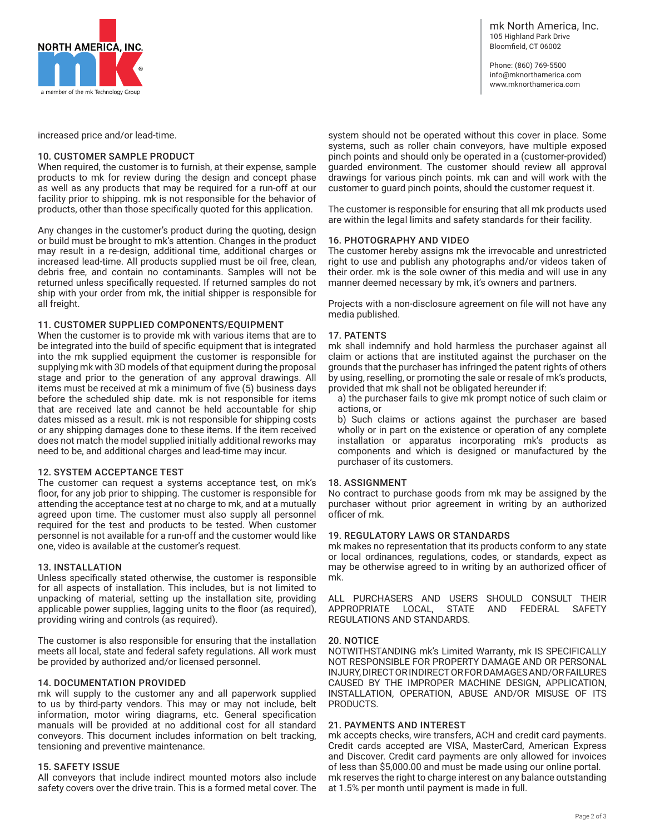

Phone: (860) 769-5500 info@mknorthamerica.com www.mknorthamerica.com

increased price and/or lead-time.

### 10. CUSTOMER SAMPLE PRODUCT

When required, the customer is to furnish, at their expense, sample products to mk for review during the design and concept phase as well as any products that may be required for a run-off at our facility prior to shipping. mk is not responsible for the behavior of products, other than those specifically quoted for this application.

Any changes in the customer's product during the quoting, design or build must be brought to mk's attention. Changes in the product may result in a re-design, additional time, additional charges or increased lead-time. All products supplied must be oil free, clean, debris free, and contain no contaminants. Samples will not be returned unless specifically requested. If returned samples do not ship with your order from mk, the initial shipper is responsible for all freight.

## 11. CUSTOMER SUPPLIED COMPONENTS/EQUIPMENT

When the customer is to provide mk with various items that are to be integrated into the build of specific equipment that is integrated into the mk supplied equipment the customer is responsible for supplying mk with 3D models of that equipment during the proposal stage and prior to the generation of any approval drawings. All items must be received at mk a minimum of five (5) business days before the scheduled ship date. mk is not responsible for items that are received late and cannot be held accountable for ship dates missed as a result. mk is not responsible for shipping costs or any shipping damages done to these items. If the item received does not match the model supplied initially additional reworks may need to be, and additional charges and lead-time may incur.

# 12. SYSTEM ACCEPTANCE TEST

The customer can request a systems acceptance test, on mk's floor, for any job prior to shipping. The customer is responsible for attending the acceptance test at no charge to mk, and at a mutually agreed upon time. The customer must also supply all personnel required for the test and products to be tested. When customer personnel is not available for a run-off and the customer would like one, video is available at the customer's request.

# 13. INSTALLATION

Unless specifically stated otherwise, the customer is responsible for all aspects of installation. This includes, but is not limited to unpacking of material, setting up the installation site, providing applicable power supplies, lagging units to the floor (as required), providing wiring and controls (as required).

The customer is also responsible for ensuring that the installation meets all local, state and federal safety regulations. All work must be provided by authorized and/or licensed personnel.

#### 14. DOCUMENTATION PROVIDED

mk will supply to the customer any and all paperwork supplied to us by third-party vendors. This may or may not include, belt information, motor wiring diagrams, etc. General specification manuals will be provided at no additional cost for all standard conveyors. This document includes information on belt tracking, tensioning and preventive maintenance.

# 15. SAFETY ISSUE

All conveyors that include indirect mounted motors also include safety covers over the drive train. This is a formed metal cover. The

system should not be operated without this cover in place. Some systems, such as roller chain conveyors, have multiple exposed pinch points and should only be operated in a (customer-provided) guarded environment. The customer should review all approval drawings for various pinch points. mk can and will work with the customer to guard pinch points, should the customer request it.

The customer is responsible for ensuring that all mk products used are within the legal limits and safety standards for their facility.

# 16. PHOTOGRAPHY AND VIDEO

The customer hereby assigns mk the irrevocable and unrestricted right to use and publish any photographs and/or videos taken of their order. mk is the sole owner of this media and will use in any manner deemed necessary by mk, it's owners and partners.

Projects with a non-disclosure agreement on file will not have any media published.

## 17. PATENTS

mk shall indemnify and hold harmless the purchaser against all claim or actions that are instituted against the purchaser on the grounds that the purchaser has infringed the patent rights of others by using, reselling, or promoting the sale or resale of mk's products, provided that mk shall not be obligated hereunder if:

a) the purchaser fails to give mk prompt notice of such claim or actions, or

b) Such claims or actions against the purchaser are based wholly or in part on the existence or operation of any complete installation or apparatus incorporating mk's products as components and which is designed or manufactured by the purchaser of its customers.

# 18. ASSIGNMENT

No contract to purchase goods from mk may be assigned by the purchaser without prior agreement in writing by an authorized officer of mk.

#### 19. REGULATORY LAWS OR STANDARDS

mk makes no representation that its products conform to any state or local ordinances, regulations, codes, or standards, expect as may be otherwise agreed to in writing by an authorized officer of mk.

ALL PURCHASERS AND USERS SHOULD CONSULT THEIR APPROPRIATE LOCAL, STATE AND FEDERAL SAFETY REGULATIONS AND STANDARDS.

#### 20. NOTICE

NOTWITHSTANDING mk's Limited Warranty, mk IS SPECIFICALLY NOT RESPONSIBLE FOR PROPERTY DAMAGE AND OR PERSONAL INJURY, DIRECT OR INDIRECT OR FOR DAMAGES AND/OR FAILURES CAUSED BY THE IMPROPER MACHINE DESIGN, APPLICATION, INSTALLATION, OPERATION, ABUSE AND/OR MISUSE OF ITS PRODUCTS.

#### 21. PAYMENTS AND INTEREST

mk accepts checks, wire transfers, ACH and credit card payments. Credit cards accepted are VISA, MasterCard, American Express and Discover. Credit card payments are only allowed for invoices of less than \$5,000.00 and must be made using our online portal. mk reserves the right to charge interest on any balance outstanding at 1.5% per month until payment is made in full.